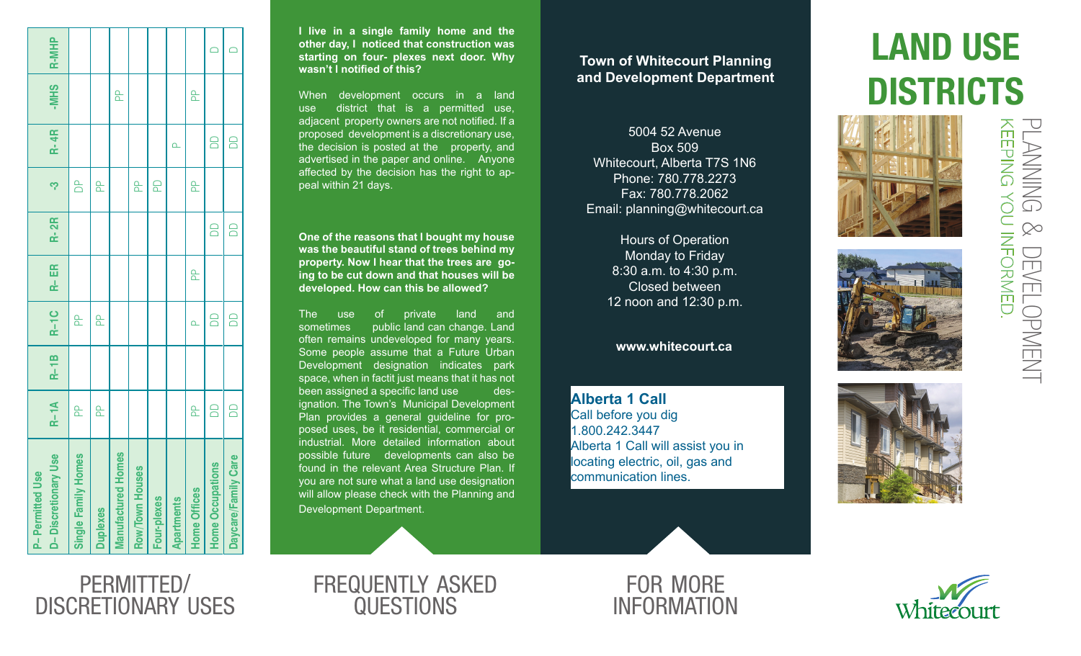| D-Discretionary Use<br><b>P-Permitted Use</b> | $R-1A$ | $R-1B$ | R-1C     | $R-ER$   | <b>R-2R</b> | ကု           | <b>R-4R</b> | -MHS     | <b>R-MHP</b> |
|-----------------------------------------------|--------|--------|----------|----------|-------------|--------------|-------------|----------|--------------|
| Single Family Homes                           | a<br>A |        | <u>բ</u> |          |             | $\mathbb{B}$ |             |          |              |
| <b>Duplexes</b>                               | a<br>A |        | <u>Գ</u> |          |             | <u>Գ</u>     |             |          |              |
| <b>Manufactured Homes</b>                     |        |        |          |          |             |              |             | <u>ը</u> |              |
| Row/Town Houses                               |        |        |          |          |             | <u>a</u>     |             |          |              |
| Four-plexes                                   |        |        |          |          |             | $\Omega$     |             |          |              |
| <b>Apartments</b>                             |        |        |          |          |             |              | $\Delta$    |          |              |
| <b>Home Offices</b>                           | a<br>A |        | $\alpha$ | <u>Գ</u> |             | <u>Գ</u>     |             | a<br>A   |              |
| <b>Home Occupations</b>                       | $\Box$ |        | 8        |          | 6           |              | 8           |          | $\Box$       |
| Daycare/Family Care                           | $\Box$ |        | $\Box$   |          | 6           |              | $\Box$      |          |              |
|                                               |        |        |          |          |             |              |             |          |              |

**I live in a single family home and the other day, I noticed that construction was starting on four- plexes next door. Why wasn't I notified of this?**

When development occurs in a land use district that is a permitted use, adjacent property owners are not notified. If a proposed development is a discretionary use, the decision is posted at the property, and advertised in the paper and online. Anyone affected by the decision has the right to ap peal within 21 days.

**One of the reasons that I bought my house was the beautiful stand of trees behind my property. Now I hear that the trees are go ing to be cut down and that houses will be developed. How can this be allowed?**

The use of private land and sometimes public land can change. Land often remains undeveloped for many years. Some people assume that a Future Urban Development designation indicates park space, when in factit just means that it has not been assigned a specific land use designation. The Town's Municipal Development Plan provides a general guideline for pro posed uses, be it residential, commercial or industrial. More detailed information about possible future developments can also be found in the relevant Area Structure Plan. If you are not sure what a land use designation will allow please check with the Planning and Development Department.

### **Town of Whitecourt Planning and Development Department**

5004 52 Avenue Box 509 Whitecourt, Alberta T7S 1N6 Phone: 780.778.2273 Fax: 780.778.2062 Email: planning@whitecourt.ca

> Hours of Operation Monday to Friday 8:30 a.m. to 4:30 p.m. Closed between 12 noon and 12:30 p.m.

#### **www.whitecourt.ca**

**Alberta 1 Call** Call before you dig 1.800.242.3447 Alberta 1 Call will assist you in locating electric, oil, gas and communication lines.

# LAND USE **DISTRICTS**







permitted / discretionary uses



FOR MORE **INFORMATION** 



keeping you informed. planning AEEPING YOU INFORMED  $\infty$ **DEVELOPMENT** development